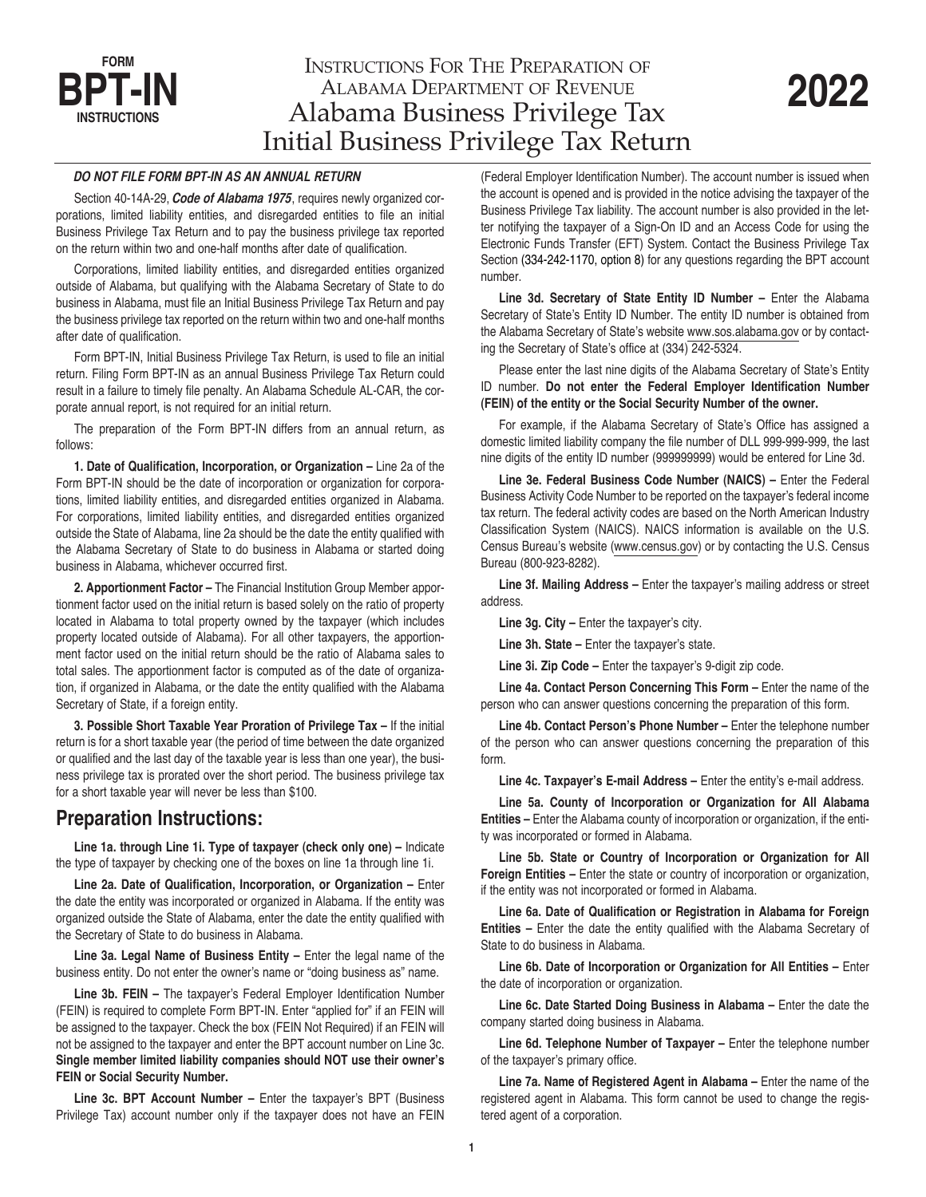# INSTRUCTIONS FOR THE PREPARATION OF ALABAMA DEPARTMENT OF REVENUE Alabama Business Privilege Tax Initial Business Privilege Tax Return

#### *DO NOT FILE FORM BPT-IN AS AN ANNUAL RETURN*

**FORM BPT-IN**

**INSTRUCTIONS**

Section 40-14A-29, *Code of Alabama 1975*, requires newly organized corporations, limited liability entities, and disregarded entities to file an initial Business Privilege Tax Return and to pay the business privilege tax reported on the return within two and one-half months after date of qualification.

Corporations, limited liability entities, and disregarded entities organized outside of Alabama, but qualifying with the Alabama Secretary of State to do business in Alabama, must file an Initial Business Privilege Tax Return and pay the business privilege tax reported on the return within two and one-half months after date of qualification.

Form BPT-IN, Initial Business Privilege Tax Return, is used to file an initial return. Filing Form BPT-IN as an annual Business Privilege Tax Return could result in a failure to timely file penalty. An Alabama Schedule AL-CAR, the corporate annual report, is not required for an initial return.

The preparation of the Form BPT-IN differs from an annual return, as follows:

**1. Date of Qualification, Incorporation, or Organization –** Line 2a of the Form BPT-IN should be the date of incorporation or organization for corporations, limited liability entities, and disregarded entities organized in Alabama. For corporations, limited liability entities, and disregarded entities organized outside the State of Alabama, line 2a should be the date the entity qualified with the Alabama Secretary of State to do business in Alabama or started doing business in Alabama, whichever occurred first.

**2. Apportionment Factor –** The Financial Institution Group Member apportionment factor used on the initial return is based solely on the ratio of property located in Alabama to total property owned by the taxpayer (which includes property located outside of Alabama). For all other taxpayers, the apportionment factor used on the initial return should be the ratio of Alabama sales to total sales. The apportionment factor is computed as of the date of organization, if organized in Alabama, or the date the entity qualified with the Alabama Secretary of State, if a foreign entity.

**3. Possible Short Taxable Year Proration of Privilege Tax –** If the initial return is for a short taxable year (the period of time between the date organized or qualified and the last day of the taxable year is less than one year), the business privilege tax is prorated over the short period. The business privilege tax for a short taxable year will never be less than \$100.

# **Preparation Instructions:**

**Line 1a. through Line 1i. Type of taxpayer (check only one) –** Indicate the type of taxpayer by checking one of the boxes on line 1a through line 1i.

**Line 2a. Date of Qualification, Incorporation, or Organization –** Enter the date the entity was incorporated or organized in Alabama. If the entity was organized outside the State of Alabama, enter the date the entity qualified with the Secretary of State to do business in Alabama.

**Line 3a. Legal Name of Business Entity –** Enter the legal name of the business entity. Do not enter the owner's name or "doing business as" name.

**Line 3b. FEIN –** The taxpayer's Federal Employer Identification Number (FEIN) is required to complete Form BPT-IN. Enter "applied for" if an FEIN will be assigned to the taxpayer. Check the box (FEIN Not Required) if an FEIN will not be assigned to the taxpayer and enter the BPT account number on Line 3c. **Single member limited liability companies should NOT use their owner's FEIN or Social Security Number.**

**Line 3c. BPT Account Number –** Enter the taxpayer's BPT (Business Privilege Tax) account number only if the taxpayer does not have an FEIN

(Federal Employer Identification Number). The account number is issued when the account is opened and is provided in the notice advising the taxpayer of the Business Privilege Tax liability. The account number is also provided in the letter notifying the taxpayer of a Sign-On ID and an Access Code for using the Electronic Funds Transfer (EFT) System. Contact the Business Privilege Tax Section (334-242-1170, option 8) for any questions regarding the BPT account number.

**Line 3d. Secretary of State Entity ID Number –** Enter the Alabama Secretary of State's Entity ID Number. The entity ID number is obtained from the Alabama Secretary of State's website www.sos.alabama.gov or by contacting the Secretary of State's office at (334) 242-5324.

Please enter the last nine digits of the Alabama Secretary of State's Entity ID number. **Do not enter the Federal Employer Identification Number (FEIN) of the entity or the Social Security Number of the owner.**

For example, if the Alabama Secretary of State's Office has assigned a domestic limited liability company the file number of DLL 999-999-999, the last nine digits of the entity ID number (999999999) would be entered for Line 3d.

**Line 3e. Federal Business Code Number (NAICS) –** Enter the Federal Business Activity Code Number to be reported on the taxpayer's federal income tax return. The federal activity codes are based on the North American Industry Classification System (NAICS). NAICS information is available on the U.S. Census Bureau's website (www.census.gov) or by contacting the U.S. Census Bureau (800-923-8282).

**Line 3f. Mailing Address –** Enter the taxpayer's mailing address or street address.

**Line 3g. City –** Enter the taxpayer's city.

**Line 3h. State –** Enter the taxpayer's state.

**Line 3i. Zip Code –** Enter the taxpayer's 9-digit zip code.

**Line 4a. Contact Person Concerning This Form –** Enter the name of the person who can answer questions concerning the preparation of this form.

**Line 4b. Contact Person's Phone Number –** Enter the telephone number of the person who can answer questions concerning the preparation of this form.

**Line 4c. Taxpayer's E-mail Address –** Enter the entity's e-mail address.

**Line 5a. County of Incorporation or Organization for All Alabama Entities –** Enter the Alabama county of incorporation or organization, if the entity was incorporated or formed in Alabama.

**Line 5b. State or Country of Incorporation or Organization for All Foreign Entities –** Enter the state or country of incorporation or organization, if the entity was not incorporated or formed in Alabama.

**Line 6a. Date of Qualification or Registration in Alabama for Foreign Entities –** Enter the date the entity qualified with the Alabama Secretary of State to do business in Alabama.

**Line 6b. Date of Incorporation or Organization for All Entities –** Enter the date of incorporation or organization.

**Line 6c. Date Started Doing Business in Alabama –** Enter the date the company started doing business in Alabama.

**Line 6d. Telephone Number of Taxpayer –** Enter the telephone number of the taxpayer's primary office.

Line 7a. Name of Registered Agent in Alabama – Enter the name of the registered agent in Alabama. This form cannot be used to change the registered agent of a corporation.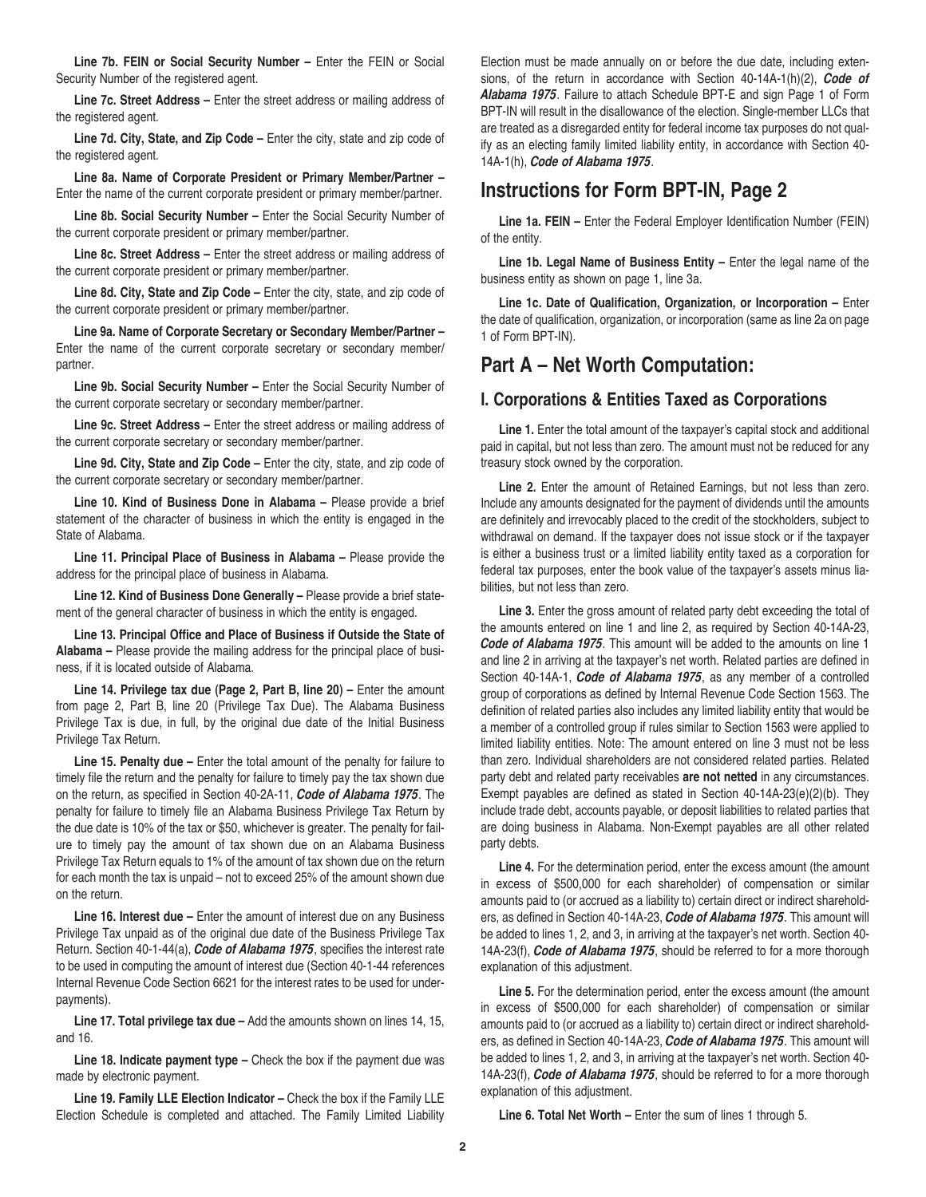Line 7b. FEIN or Social Security Number – Enter the FEIN or Social Security Number of the registered agent.

**Line 7c. Street Address –** Enter the street address or mailing address of the registered agent.

**Line 7d. City, State, and Zip Code –** Enter the city, state and zip code of the registered agent.

**Line 8a. Name of Corporate President or Primary Member/Partner –** Enter the name of the current corporate president or primary member/partner.

**Line 8b. Social Security Number –** Enter the Social Security Number of the current corporate president or primary member/partner.

**Line 8c. Street Address –** Enter the street address or mailing address of the current corporate president or primary member/partner.

**Line 8d. City, State and Zip Code –** Enter the city, state, and zip code of the current corporate president or primary member/partner.

**Line 9a. Name of Corporate Secretary or Secondary Member/Partner –** Enter the name of the current corporate secretary or secondary member/ partner.

**Line 9b. Social Security Number –** Enter the Social Security Number of the current corporate secretary or secondary member/partner.

**Line 9c. Street Address –** Enter the street address or mailing address of the current corporate secretary or secondary member/partner.

**Line 9d. City, State and Zip Code –** Enter the city, state, and zip code of the current corporate secretary or secondary member/partner.

**Line 10. Kind of Business Done in Alabama –** Please provide a brief statement of the character of business in which the entity is engaged in the State of Alabama.

**Line 11. Principal Place of Business in Alabama –** Please provide the address for the principal place of business in Alabama.

**Line 12. Kind of Business Done Generally –** Please provide a brief statement of the general character of business in which the entity is engaged.

**Line 13. Principal Office and Place of Business if Outside the State of Alabama –** Please provide the mailing address for the principal place of business, if it is located outside of Alabama.

Line 14. Privilege tax due (Page 2, Part B, line 20) – Enter the amount from page 2, Part B, line 20 (Privilege Tax Due). The Alabama Business Privilege Tax is due, in full, by the original due date of the Initial Business Privilege Tax Return.

**Line 15. Penalty due –** Enter the total amount of the penalty for failure to timely file the return and the penalty for failure to timely pay the tax shown due on the return, as specified in Section 40-2A-11, *Code of Alabama 1975*. The penalty for failure to timely file an Alabama Business Privilege Tax Return by the due date is 10% of the tax or \$50, whichever is greater. The penalty for failure to timely pay the amount of tax shown due on an Alabama Business Privilege Tax Return equals to 1% of the amount of tax shown due on the return for each month the tax is unpaid – not to exceed 25% of the amount shown due on the return.

**Line 16. Interest due –** Enter the amount of interest due on any Business Privilege Tax unpaid as of the original due date of the Business Privilege Tax Return. Section 40-1-44(a), *Code of Alabama 1975*, specifies the interest rate to be used in computing the amount of interest due (Section 40-1-44 references Internal Revenue Code Section 6621 for the interest rates to be used for underpayments).

**Line 17. Total privilege tax due –** Add the amounts shown on lines 14, 15, and 16.

**Line 18. Indicate payment type –** Check the box if the payment due was made by electronic payment.

**Line 19. Family LLE Election Indicator –** Check the box if the Family LLE Election Schedule is completed and attached. The Family Limited Liability

Election must be made annually on or before the due date, including extensions, of the return in accordance with Section 40-14A-1(h)(2), *Code of Alabama 1975*. Failure to attach Schedule BPT-E and sign Page 1 of Form BPT-IN will result in the disallowance of the election. Single-member LLCs that are treated as a disregarded entity for federal income tax purposes do not qualify as an electing family limited liability entity, in accordance with Section 40- 14A-1(h), *Code of Alabama 1975*.

## **Instructions for Form BPT-IN, Page 2**

**Line 1a. FEIN –** Enter the Federal Employer Identification Number (FEIN) of the entity.

**Line 1b. Legal Name of Business Entity –** Enter the legal name of the business entity as shown on page 1, line 3a.

**Line 1c. Date of Qualification, Organization, or Incorporation –** Enter the date of qualification, organization, or incorporation (same as line 2a on page 1 of Form BPT-IN).

## **Part A – Net Worth Computation:**

### **I. Corporations & Entities Taxed as Corporations**

Line 1. Enter the total amount of the taxpayer's capital stock and additional paid in capital, but not less than zero. The amount must not be reduced for any treasury stock owned by the corporation.

**Line 2.** Enter the amount of Retained Earnings, but not less than zero. Include any amounts designated for the payment of dividends until the amounts are definitely and irrevocably placed to the credit of the stockholders, subject to withdrawal on demand. If the taxpayer does not issue stock or if the taxpayer is either a business trust or a limited liability entity taxed as a corporation for federal tax purposes, enter the book value of the taxpayer's assets minus liabilities, but not less than zero.

Line 3. Enter the gross amount of related party debt exceeding the total of the amounts entered on line 1 and line 2, as required by Section 40-14A-23, *Code of Alabama 1975*. This amount will be added to the amounts on line 1 and line 2 in arriving at the taxpayer's net worth. Related parties are defined in Section 40-14A-1, *Code of Alabama 1975*, as any member of a controlled group of corporations as defined by Internal Revenue Code Section 1563. The definition of related parties also includes any limited liability entity that would be a member of a controlled group if rules similar to Section 1563 were applied to limited liability entities. Note: The amount entered on line 3 must not be less than zero. Individual shareholders are not considered related parties. Related party debt and related party receivables **are not netted** in any circumstances. Exempt payables are defined as stated in Section 40-14A-23(e)(2)(b). They include trade debt, accounts payable, or deposit liabilities to related parties that are doing business in Alabama. Non-Exempt payables are all other related party debts.

**Line 4.** For the determination period, enter the excess amount (the amount in excess of \$500,000 for each shareholder) of compensation or similar amounts paid to (or accrued as a liability to) certain direct or indirect shareholders, as defined in Section 40-14A-23, *Code of Alabama 1975*. This amount will be added to lines 1, 2, and 3, in arriving at the taxpayer's net worth. Section 40- 14A-23(f), *Code of Alabama 1975*, should be referred to for a more thorough explanation of this adjustment.

**Line 5.** For the determination period, enter the excess amount (the amount in excess of \$500,000 for each shareholder) of compensation or similar amounts paid to (or accrued as a liability to) certain direct or indirect shareholders, as defined in Section 40-14A-23, *Code of Alabama 1975*. This amount will be added to lines 1, 2, and 3, in arriving at the taxpayer's net worth. Section 40- 14A-23(f), *Code of Alabama 1975*, should be referred to for a more thorough explanation of this adjustment.

**Line 6. Total Net Worth –** Enter the sum of lines 1 through 5.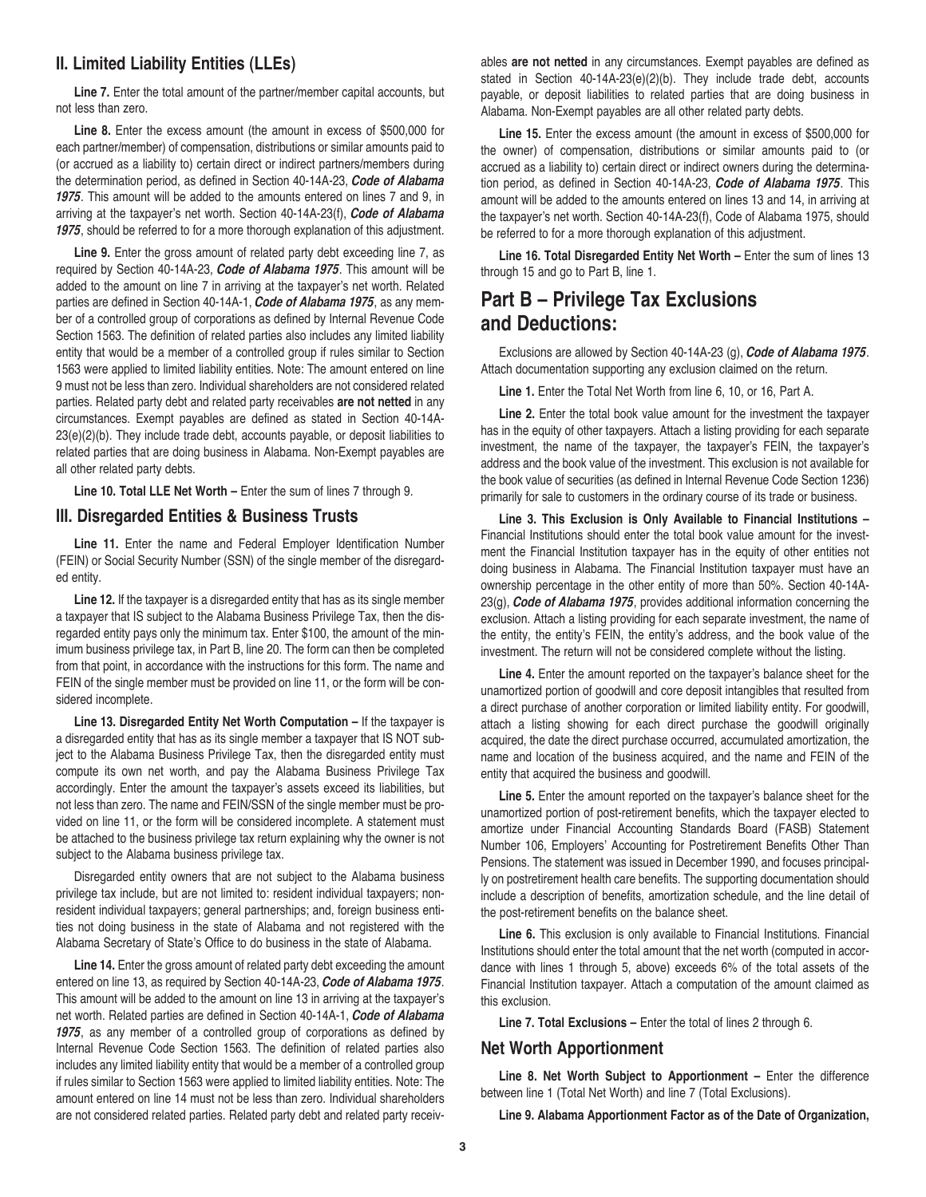### **II. Limited Liability Entities (LLEs)**

**Line 7.** Enter the total amount of the partner/member capital accounts, but not less than zero.

**Line 8.** Enter the excess amount (the amount in excess of \$500,000 for each partner/member) of compensation, distributions or similar amounts paid to (or accrued as a liability to) certain direct or indirect partners/members during the determination period, as defined in Section 40-14A-23, *Code of Alabama 1975*. This amount will be added to the amounts entered on lines 7 and 9, in arriving at the taxpayer's net worth. Section 40-14A-23(f), *Code of Alabama 1975*, should be referred to for a more thorough explanation of this adjustment.

Line 9. Enter the gross amount of related party debt exceeding line 7, as required by Section 40-14A-23, *Code of Alabama 1975*. This amount will be added to the amount on line 7 in arriving at the taxpayer's net worth. Related parties are defined in Section 40-14A-1, *Code of Alabama 1975*, as any member of a controlled group of corporations as defined by Internal Revenue Code Section 1563. The definition of related parties also includes any limited liability entity that would be a member of a controlled group if rules similar to Section 1563 were applied to limited liability entities. Note: The amount entered on line 9 must not be less than zero. Individual shareholders are not considered related parties. Related party debt and related party receivables **are not netted** in any circumstances. Exempt payables are defined as stated in Section 40-14A-23(e)(2)(b). They include trade debt, accounts payable, or deposit liabilities to related parties that are doing business in Alabama. Non-Exempt payables are all other related party debts.

**Line 10. Total LLE Net Worth –** Enter the sum of lines 7 through 9.

#### **III. Disregarded Entities & Business Trusts**

**Line 11.** Enter the name and Federal Employer Identification Number (FEIN) or Social Security Number (SSN) of the single member of the disregarded entity.

**Line 12.** If the taxpayer is a disregarded entity that has as its single member a taxpayer that IS subject to the Alabama Business Privilege Tax, then the disregarded entity pays only the minimum tax. Enter \$100, the amount of the minimum business privilege tax, in Part B, line 20. The form can then be completed from that point, in accordance with the instructions for this form. The name and FEIN of the single member must be provided on line 11, or the form will be considered incomplete.

**Line 13. Disregarded Entity Net Worth Computation –** If the taxpayer is a disregarded entity that has as its single member a taxpayer that IS NOT subject to the Alabama Business Privilege Tax, then the disregarded entity must compute its own net worth, and pay the Alabama Business Privilege Tax accordingly. Enter the amount the taxpayer's assets exceed its liabilities, but not less than zero. The name and FEIN/SSN of the single member must be provided on line 11, or the form will be considered incomplete. A statement must be attached to the business privilege tax return explaining why the owner is not subject to the Alabama business privilege tax.

Disregarded entity owners that are not subject to the Alabama business privilege tax include, but are not limited to: resident individual taxpayers; nonresident individual taxpayers; general partnerships; and, foreign business entities not doing business in the state of Alabama and not registered with the Alabama Secretary of State's Office to do business in the state of Alabama.

**Line 14.** Enter the gross amount of related party debt exceeding the amount entered on line 13, as required by Section 40-14A-23, *Code of Alabama 1975*. This amount will be added to the amount on line 13 in arriving at the taxpayer's net worth. Related parties are defined in Section 40-14A-1, *Code of Alabama 1975*, as any member of a controlled group of corporations as defined by Internal Revenue Code Section 1563. The definition of related parties also includes any limited liability entity that would be a member of a controlled group if rules similar to Section 1563 were applied to limited liability entities. Note: The amount entered on line 14 must not be less than zero. Individual shareholders are not considered related parties. Related party debt and related party receiv-

ables **are not netted** in any circumstances. Exempt payables are defined as stated in Section 40-14A-23(e)(2)(b). They include trade debt, accounts payable, or deposit liabilities to related parties that are doing business in Alabama. Non-Exempt payables are all other related party debts.

**Line 15.** Enter the excess amount (the amount in excess of \$500,000 for the owner) of compensation, distributions or similar amounts paid to (or accrued as a liability to) certain direct or indirect owners during the determination period, as defined in Section 40-14A-23, *Code of Alabama 1975*. This amount will be added to the amounts entered on lines 13 and 14, in arriving at the taxpayer's net worth. Section 40-14A-23(f), Code of Alabama 1975, should be referred to for a more thorough explanation of this adjustment.

Line 16. Total Disregarded Entity Net Worth - Enter the sum of lines 13 through 15 and go to Part B, line 1.

# **Part B – Privilege Tax Exclusions and Deductions:**

Exclusions are allowed by Section 40-14A-23 (g), *Code of Alabama 1975*. Attach documentation supporting any exclusion claimed on the return.

**Line 1.** Enter the Total Net Worth from line 6, 10, or 16, Part A.

**Line 2.** Enter the total book value amount for the investment the taxpayer has in the equity of other taxpayers. Attach a listing providing for each separate investment, the name of the taxpayer, the taxpayer's FEIN, the taxpayer's address and the book value of the investment. This exclusion is not available for the book value of securities (as defined in Internal Revenue Code Section 1236) primarily for sale to customers in the ordinary course of its trade or business.

**Line 3. This Exclusion is Only Available to Financial Institutions –** Financial Institutions should enter the total book value amount for the investment the Financial Institution taxpayer has in the equity of other entities not doing business in Alabama. The Financial Institution taxpayer must have an ownership percentage in the other entity of more than 50%. Section 40-14A-23(g), *Code of Alabama 1975*, provides additional information concerning the exclusion. Attach a listing providing for each separate investment, the name of the entity, the entity's FEIN, the entity's address, and the book value of the investment. The return will not be considered complete without the listing.

**Line 4.** Enter the amount reported on the taxpayer's balance sheet for the unamortized portion of goodwill and core deposit intangibles that resulted from a direct purchase of another corporation or limited liability entity. For goodwill, attach a listing showing for each direct purchase the goodwill originally acquired, the date the direct purchase occurred, accumulated amortization, the name and location of the business acquired, and the name and FEIN of the entity that acquired the business and goodwill.

**Line 5.** Enter the amount reported on the taxpayer's balance sheet for the unamortized portion of post-retirement benefits, which the taxpayer elected to amortize under Financial Accounting Standards Board (FASB) Statement Number 106, Employers' Accounting for Postretirement Benefits Other Than Pensions. The statement was issued in December 1990, and focuses principally on postretirement health care benefits. The supporting documentation should include a description of benefits, amortization schedule, and the line detail of the post-retirement benefits on the balance sheet.

**Line 6.** This exclusion is only available to Financial Institutions. Financial Institutions should enter the total amount that the net worth (computed in accordance with lines 1 through 5, above) exceeds 6% of the total assets of the Financial Institution taxpayer. Attach a computation of the amount claimed as this exclusion.

**Line 7. Total Exclusions –** Enter the total of lines 2 through 6.

#### **Net Worth Apportionment**

**Line 8. Net Worth Subject to Apportionment –** Enter the difference between line 1 (Total Net Worth) and line 7 (Total Exclusions).

**Line 9. Alabama Apportionment Factor as of the Date of Organization,**